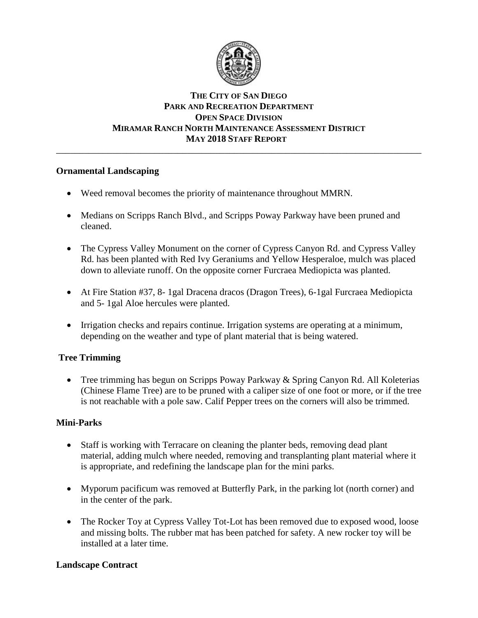

# **THE CITY OF SAN DIEGO PARK AND RECREATION DEPARTMENT OPEN SPACE DIVISION MIRAMAR RANCH NORTH MAINTENANCE ASSESSMENT DISTRICT MAY 2018 STAFF REPORT**

\_\_\_\_\_\_\_\_\_\_\_\_\_\_\_\_\_\_\_\_\_\_\_\_\_\_\_\_\_\_\_\_\_\_\_\_\_\_\_\_\_\_\_\_\_\_\_\_\_\_\_\_\_\_\_\_\_\_\_\_\_\_\_\_\_\_\_\_\_\_\_\_\_\_\_\_\_\_

# **Ornamental Landscaping**

- Weed removal becomes the priority of maintenance throughout MMRN.
- Medians on Scripps Ranch Blvd., and Scripps Poway Parkway have been pruned and cleaned.
- The Cypress Valley Monument on the corner of Cypress Canyon Rd. and Cypress Valley Rd. has been planted with Red Ivy Geraniums and Yellow Hesperaloe, mulch was placed down to alleviate runoff. On the opposite corner Furcraea Mediopicta was planted.
- At Fire Station #37, 8-1gal Dracena dracos (Dragon Trees), 6-1gal Furcraea Mediopicta and 5- 1gal Aloe hercules were planted.
- Irrigation checks and repairs continue. Irrigation systems are operating at a minimum, depending on the weather and type of plant material that is being watered.

# **Tree Trimming**

• Tree trimming has begun on Scripps Poway Parkway & Spring Canyon Rd. All Koleterias (Chinese Flame Tree) are to be pruned with a caliper size of one foot or more, or if the tree is not reachable with a pole saw. Calif Pepper trees on the corners will also be trimmed.

## **Mini-Parks**

- Staff is working with Terracare on cleaning the planter beds, removing dead plant material, adding mulch where needed, removing and transplanting plant material where it is appropriate, and redefining the landscape plan for the mini parks.
- Myporum pacificum was removed at Butterfly Park, in the parking lot (north corner) and in the center of the park.
- The Rocker Toy at Cypress Valley Tot-Lot has been removed due to exposed wood, loose and missing bolts. The rubber mat has been patched for safety. A new rocker toy will be installed at a later time.

## **Landscape Contract**